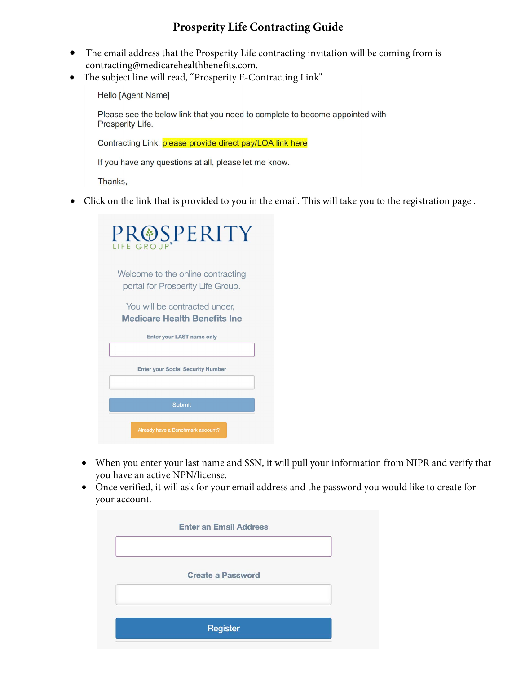## **Prosperity Life Contracting Guide**

- The email address that the Prosperity Life contracting invitation will be coming from is contracting@medicarehealthbenefits.com.
- The subject line will read, "Prosperity E-Contracting Link"

Hello [Agent Name]

Please see the below link that you need to complete to become appointed with Prosperity Life.

Contracting Link: please provide direct pay/LOA link here

If you have any questions at all, please let me know.

Thanks,

• Click on the link that is provided to you in the email. This will take you to the registration page .

| PR@SPERITY<br>LIFE GRO                                                 |
|------------------------------------------------------------------------|
| Welcome to the online contracting<br>portal for Prosperity Life Group. |
| You will be contracted under,<br><b>Medicare Health Benefits Inc.</b>  |
| <b>Enter your LAST name only</b>                                       |
|                                                                        |
| <b>Enter your Social Security Number</b>                               |
| Submit                                                                 |
| Already have a Benchmark account?                                      |

- When you enter your last name and SSN, it will pull your information from NIPR and verify that you have an active NPN/license.
- Once verified, it will ask for your email address and the password you would like to create for your account.